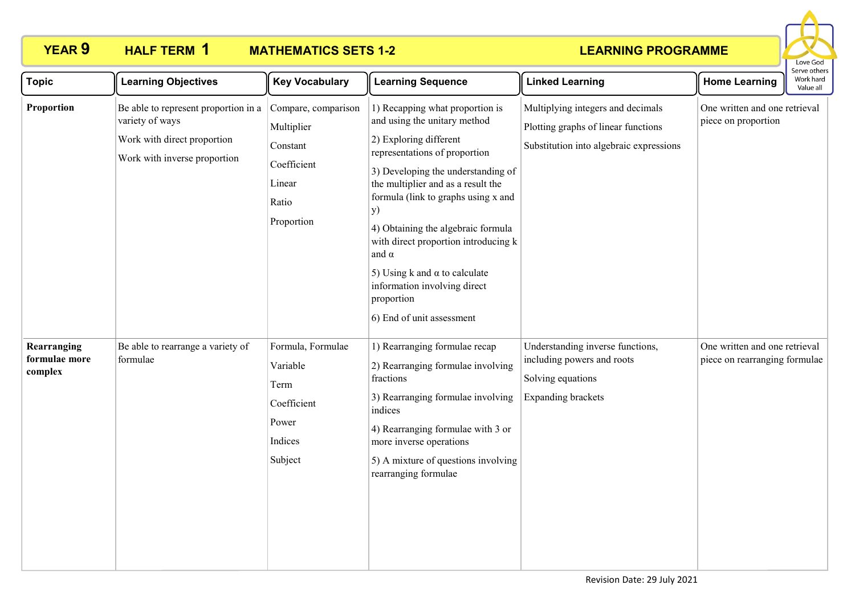# **HALF TERM 1**

# **YEAR 9 HALF TERM MATHEMATICS SETS 1-2**



| <b>Topic</b>                            | <b>Learning Objectives</b>                                                                                             | <b>Key Vocabulary</b>                                                                         | <b>Learning Sequence</b>                                                                                                                                                                                                                                                                                                                                                                                                                                             | <b>Linked Learning</b>                                                                                              | <b>Home Learning</b>                                           | Serve others<br>Work hard<br>Value all |
|-----------------------------------------|------------------------------------------------------------------------------------------------------------------------|-----------------------------------------------------------------------------------------------|----------------------------------------------------------------------------------------------------------------------------------------------------------------------------------------------------------------------------------------------------------------------------------------------------------------------------------------------------------------------------------------------------------------------------------------------------------------------|---------------------------------------------------------------------------------------------------------------------|----------------------------------------------------------------|----------------------------------------|
| Proportion                              | Be able to represent proportion in a<br>variety of ways<br>Work with direct proportion<br>Work with inverse proportion | Compare, comparison<br>Multiplier<br>Constant<br>Coefficient<br>Linear<br>Ratio<br>Proportion | 1) Recapping what proportion is<br>and using the unitary method<br>2) Exploring different<br>representations of proportion<br>3) Developing the understanding of<br>the multiplier and as a result the<br>formula (link to graphs using x and<br>y)<br>4) Obtaining the algebraic formula<br>with direct proportion introducing k<br>and $\alpha$<br>5) Using k and $\alpha$ to calculate<br>information involving direct<br>proportion<br>6) End of unit assessment | Multiplying integers and decimals<br>Plotting graphs of linear functions<br>Substitution into algebraic expressions | One written and one retrieval<br>piece on proportion           |                                        |
| Rearranging<br>formulae more<br>complex | Be able to rearrange a variety of<br>formulae                                                                          | Formula, Formulae<br>Variable<br>Term<br>Coefficient<br>Power<br>Indices<br>Subject           | 1) Rearranging formulae recap<br>2) Rearranging formulae involving<br>fractions<br>3) Rearranging formulae involving<br>indices<br>4) Rearranging formulae with 3 or<br>more inverse operations<br>5) A mixture of questions involving<br>rearranging formulae                                                                                                                                                                                                       | Understanding inverse functions,<br>including powers and roots<br>Solving equations<br><b>Expanding brackets</b>    | One written and one retrieval<br>piece on rearranging formulae |                                        |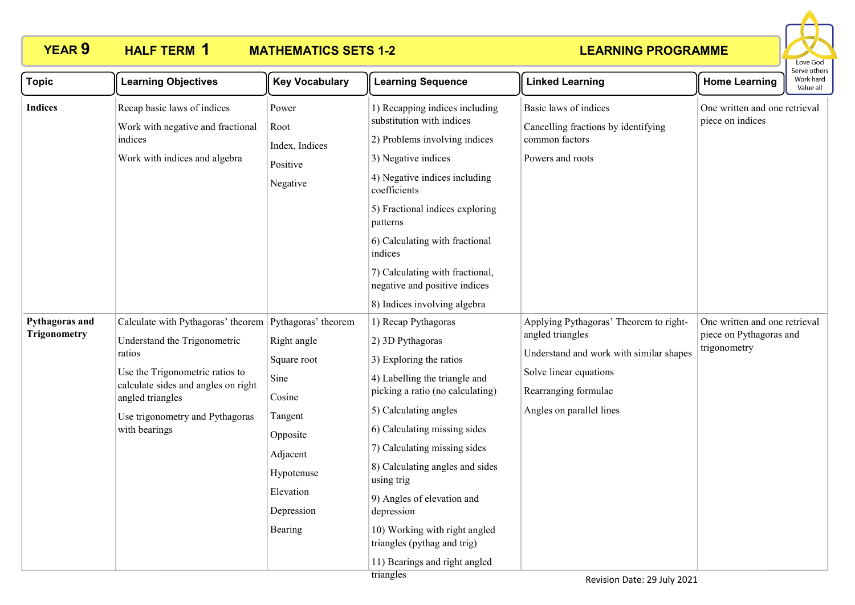

| <b>Topic</b>                          | <b>Learning Objectives</b>                                                                                                                                                                                                                         | <b>Key Vocabulary</b>                                                                                                               | <b>Learning Sequence</b>                                                                                                                                                                                                                                                                                                                                                                                                                    | <b>Linked Learning</b>                                                                                                                                                              | <b>Home Learning</b>                                                     | serve others<br>Work hard<br>Value all |
|---------------------------------------|----------------------------------------------------------------------------------------------------------------------------------------------------------------------------------------------------------------------------------------------------|-------------------------------------------------------------------------------------------------------------------------------------|---------------------------------------------------------------------------------------------------------------------------------------------------------------------------------------------------------------------------------------------------------------------------------------------------------------------------------------------------------------------------------------------------------------------------------------------|-------------------------------------------------------------------------------------------------------------------------------------------------------------------------------------|--------------------------------------------------------------------------|----------------------------------------|
| <b>Indices</b>                        | Recap basic laws of indices<br>Work with negative and fractional<br>indices<br>Work with indices and algebra                                                                                                                                       | Power<br>Root<br>Index, Indices<br>Positive<br>Negative                                                                             | 1) Recapping indices including<br>substitution with indices<br>2) Problems involving indices<br>3) Negative indices<br>4) Negative indices including<br>coefficients<br>5) Fractional indices exploring<br>patterns<br>6) Calculating with fractional<br>indices<br>7) Calculating with fractional,<br>negative and positive indices<br>8) Indices involving algebra                                                                        | Basic laws of indices<br>Cancelling fractions by identifying<br>common factors<br>Powers and roots                                                                                  | One written and one retrieval<br>piece on indices                        |                                        |
| Pythagoras and<br><b>Trigonometry</b> | Calculate with Pythagoras' theorem Pythagoras' theorem<br>Understand the Trigonometric<br>ratios<br>Use the Trigonometric ratios to<br>calculate sides and angles on right<br>angled triangles<br>Use trigonometry and Pythagoras<br>with bearings | Right angle<br>Square root<br>Sine<br>Cosine<br>Tangent<br>Opposite<br>Adjacent<br>Hypotenuse<br>Elevation<br>Depression<br>Bearing | 1) Recap Pythagoras<br>2) 3D Pythagoras<br>3) Exploring the ratios<br>4) Labelling the triangle and<br>picking a ratio (no calculating)<br>5) Calculating angles<br>6) Calculating missing sides<br>7) Calculating missing sides<br>8) Calculating angles and sides<br>using trig<br>9) Angles of elevation and<br>depression<br>10) Working with right angled<br>triangles (pythag and trig)<br>11) Bearings and right angled<br>trianoles | Applying Pythagoras' Theorem to right-<br>angled triangles<br>Understand and work with similar shapes<br>Solve linear equations<br>Rearranging formulae<br>Angles on parallel lines | One written and one retrieval<br>piece on Pythagoras and<br>trigonometry |                                        |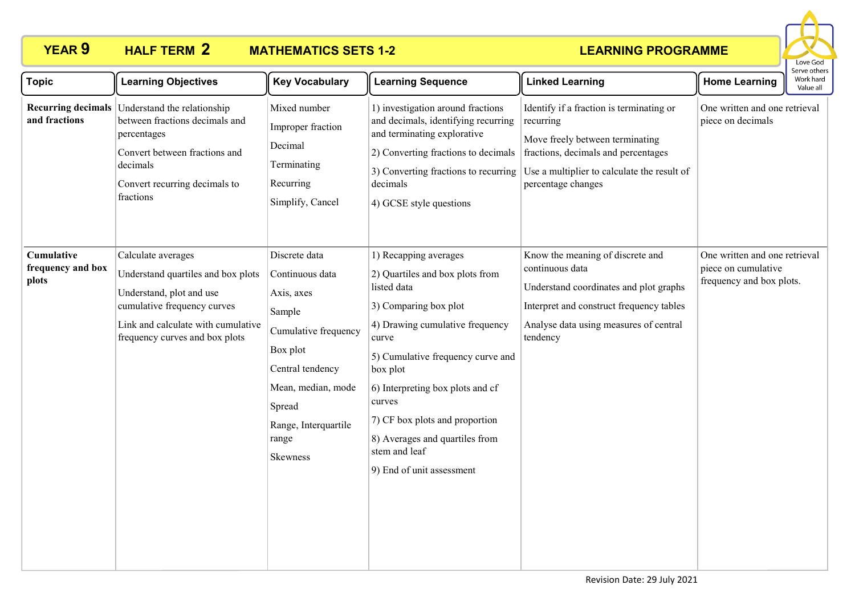

| <b>Topic</b>                                    | <b>Learning Objectives</b>                                                                                                                                                                  | <b>Key Vocabulary</b>                                                                                                                                                                         | <b>Learning Sequence</b>                                                                                                                                                                                                                                                                                                                                      | <b>Linked Learning</b>                                                                                                                                                                               | <b>Home Learning</b>                                                             | serve others<br>Work hard<br>Value all |
|-------------------------------------------------|---------------------------------------------------------------------------------------------------------------------------------------------------------------------------------------------|-----------------------------------------------------------------------------------------------------------------------------------------------------------------------------------------------|---------------------------------------------------------------------------------------------------------------------------------------------------------------------------------------------------------------------------------------------------------------------------------------------------------------------------------------------------------------|------------------------------------------------------------------------------------------------------------------------------------------------------------------------------------------------------|----------------------------------------------------------------------------------|----------------------------------------|
| and fractions                                   | Recurring decimals Understand the relationship<br>between fractions decimals and<br>percentages<br>Convert between fractions and<br>decimals<br>Convert recurring decimals to<br>fractions  | Mixed number<br>Improper fraction<br>Decimal<br>Terminating<br>Recurring<br>Simplify, Cancel                                                                                                  | 1) investigation around fractions<br>and decimals, identifying recurring<br>and terminating explorative<br>2) Converting fractions to decimals<br>3) Converting fractions to recurring<br>decimals<br>4) GCSE style questions                                                                                                                                 | Identify if a fraction is terminating or<br>recurring<br>Move freely between terminating<br>fractions, decimals and percentages<br>Use a multiplier to calculate the result of<br>percentage changes | One written and one retrieval<br>piece on decimals                               |                                        |
| <b>Cumulative</b><br>frequency and box<br>plots | Calculate averages<br>Understand quartiles and box plots<br>Understand, plot and use<br>cumulative frequency curves<br>Link and calculate with cumulative<br>frequency curves and box plots | Discrete data<br>Continuous data<br>Axis, axes<br>Sample<br>Cumulative frequency<br>Box plot<br>Central tendency<br>Mean, median, mode<br>Spread<br>Range, Interquartile<br>range<br>Skewness | 1) Recapping averages<br>2) Quartiles and box plots from<br>listed data<br>3) Comparing box plot<br>4) Drawing cumulative frequency<br>curve<br>5) Cumulative frequency curve and<br>box plot<br>6) Interpreting box plots and cf<br>curves<br>7) CF box plots and proportion<br>8) Averages and quartiles from<br>stem and leaf<br>9) End of unit assessment | Know the meaning of discrete and<br>continuous data<br>Understand coordinates and plot graphs<br>Interpret and construct frequency tables<br>Analyse data using measures of central<br>tendency      | One written and one retrieval<br>piece on cumulative<br>frequency and box plots. |                                        |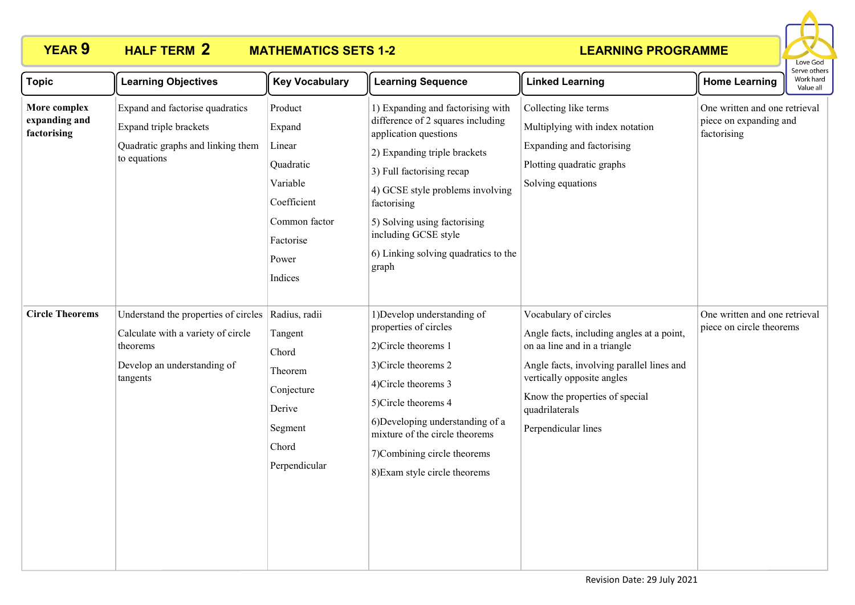# **HALF TERM 2**

# **YEAR 9 HALF TERM MATHEMATICS SETS 1-2**



| <b>Topic</b>                                 | <b>Learning Objectives</b>                                                                                                        | <b>Key Vocabulary</b>                                                                                                 | <b>Learning Sequence</b>                                                                                                                                                                                                                                                                                                 | <b>Linked Learning</b>                                                                                                                                                                                                                                   | <b>Home Learning</b>                                                   | CIVE OUILLI<br>Work hard<br>Value all |
|----------------------------------------------|-----------------------------------------------------------------------------------------------------------------------------------|-----------------------------------------------------------------------------------------------------------------------|--------------------------------------------------------------------------------------------------------------------------------------------------------------------------------------------------------------------------------------------------------------------------------------------------------------------------|----------------------------------------------------------------------------------------------------------------------------------------------------------------------------------------------------------------------------------------------------------|------------------------------------------------------------------------|---------------------------------------|
| More complex<br>expanding and<br>factorising | Expand and factorise quadratics<br>Expand triple brackets<br>Quadratic graphs and linking them<br>to equations                    | Product<br>Expand<br>Linear<br>Quadratic<br>Variable<br>Coefficient<br>Common factor<br>Factorise<br>Power<br>Indices | 1) Expanding and factorising with<br>difference of 2 squares including<br>application questions<br>2) Expanding triple brackets<br>3) Full factorising recap<br>4) GCSE style problems involving<br>factorising<br>5) Solving using factorising<br>including GCSE style<br>6) Linking solving quadratics to the<br>graph | Collecting like terms<br>Multiplying with index notation<br>Expanding and factorising<br>Plotting quadratic graphs<br>Solving equations                                                                                                                  | One written and one retrieval<br>piece on expanding and<br>factorising |                                       |
| <b>Circle Theorems</b>                       | Understand the properties of circles<br>Calculate with a variety of circle<br>theorems<br>Develop an understanding of<br>tangents | Radius, radii<br>Tangent<br>Chord<br>Theorem<br>Conjecture<br>Derive<br>Segment<br>Chord<br>Perpendicular             | 1) Develop understanding of<br>properties of circles<br>2)Circle theorems 1<br>3)Circle theorems 2<br>4)Circle theorems 3<br>5)Circle theorems 4<br>6) Developing understanding of a<br>mixture of the circle theorems<br>7) Combining circle theorems<br>8) Exam style circle theorems                                  | Vocabulary of circles<br>Angle facts, including angles at a point,<br>on aa line and in a triangle<br>Angle facts, involving parallel lines and<br>vertically opposite angles<br>Know the properties of special<br>quadrilaterals<br>Perpendicular lines | One written and one retrieval<br>piece on circle theorems              |                                       |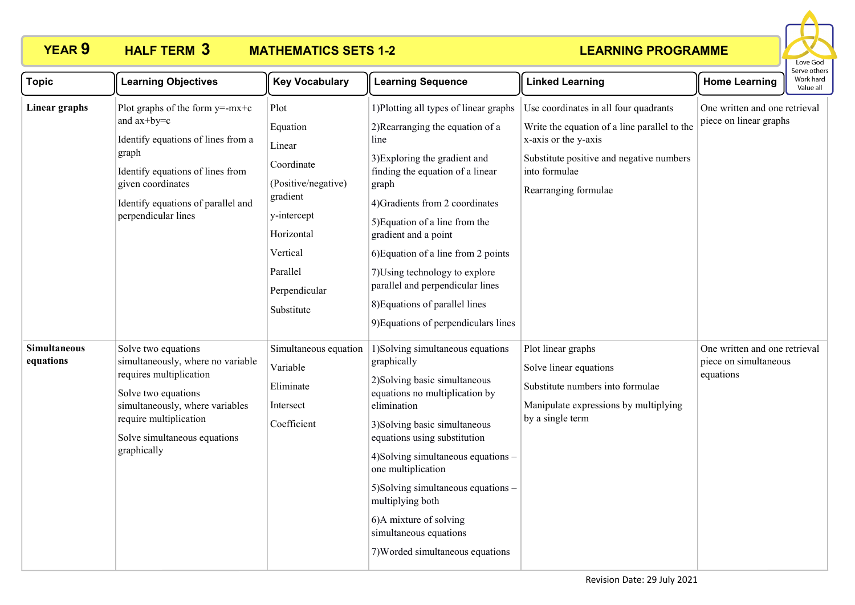

| <b>Topic</b>                     | <b>Learning Objectives</b>                                                                                                                                                                                                | <b>Key Vocabulary</b>                                                                                                                                           | <b>Learning Sequence</b>                                                                                                                                                                                                                                                                                                                                                                                                                             | <b>Linked Learning</b>                                                                                                                                                                             | <b>Home Learning</b>                                                | Work hard<br>Value all |
|----------------------------------|---------------------------------------------------------------------------------------------------------------------------------------------------------------------------------------------------------------------------|-----------------------------------------------------------------------------------------------------------------------------------------------------------------|------------------------------------------------------------------------------------------------------------------------------------------------------------------------------------------------------------------------------------------------------------------------------------------------------------------------------------------------------------------------------------------------------------------------------------------------------|----------------------------------------------------------------------------------------------------------------------------------------------------------------------------------------------------|---------------------------------------------------------------------|------------------------|
| Linear graphs                    | Plot graphs of the form $y = -mx + c$<br>and ax+by=c<br>Identify equations of lines from a<br>graph<br>Identify equations of lines from<br>given coordinates<br>Identify equations of parallel and<br>perpendicular lines | Plot<br>Equation<br>Linear<br>Coordinate<br>(Positive/negative)<br>gradient<br>y-intercept<br>Horizontal<br>Vertical<br>Parallel<br>Perpendicular<br>Substitute | 1) Plotting all types of linear graphs<br>2) Rearranging the equation of a<br>line<br>3) Exploring the gradient and<br>finding the equation of a linear<br>graph<br>4) Gradients from 2 coordinates<br>5) Equation of a line from the<br>gradient and a point<br>6) Equation of a line from 2 points<br>7) Using technology to explore<br>parallel and perpendicular lines<br>8) Equations of parallel lines<br>9) Equations of perpendiculars lines | Use coordinates in all four quadrants<br>Write the equation of a line parallel to the<br>x-axis or the y-axis<br>Substitute positive and negative numbers<br>into formulae<br>Rearranging formulae | One written and one retrieval<br>piece on linear graphs             |                        |
| <b>Simultaneous</b><br>equations | Solve two equations<br>simultaneously, where no variable<br>requires multiplication<br>Solve two equations<br>simultaneously, where variables<br>require multiplication<br>Solve simultaneous equations<br>graphically    | Simultaneous equation<br>Variable<br>Eliminate<br>Intersect<br>Coefficient                                                                                      | 1) Solving simultaneous equations<br>graphically<br>2) Solving basic simultaneous<br>equations no multiplication by<br>elimination<br>3) Solving basic simultaneous<br>equations using substitution<br>4) Solving simultaneous equations -<br>one multiplication<br>5) Solving simultaneous equations -<br>multiplying both<br>6)A mixture of solving<br>simultaneous equations<br>7) Worded simultaneous equations                                  | Plot linear graphs<br>Solve linear equations<br>Substitute numbers into formulae<br>Manipulate expressions by multiplying<br>by a single term                                                      | One written and one retrieval<br>piece on simultaneous<br>equations |                        |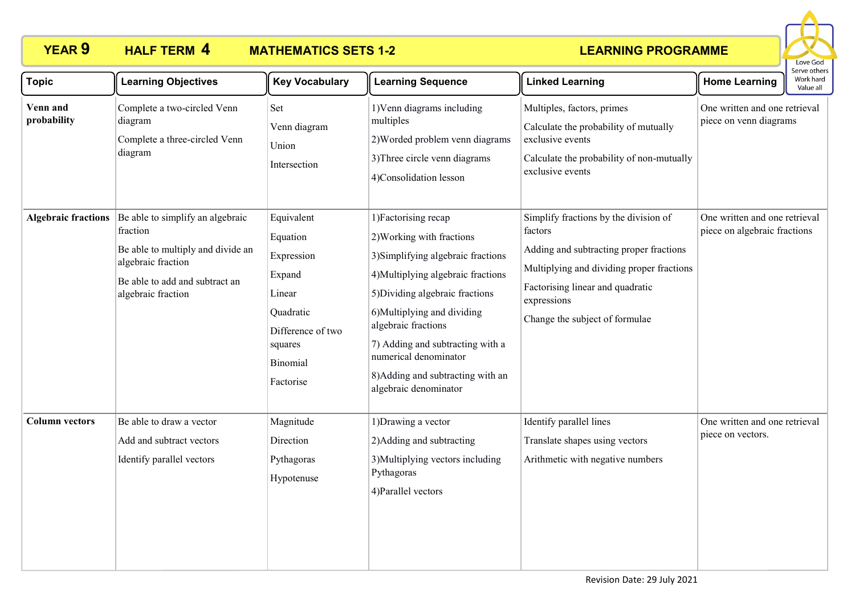

| <b>Topic</b>               | <b>Learning Objectives</b>                                                                                                                                      | <b>Key Vocabulary</b>                                                                                                                 | <b>Learning Sequence</b>                                                                                                                                                                                                                                                                                                                         | <b>Linked Learning</b>                                                                                                                                                                                                        | <b>Home Learning</b>                                          | Serve others<br>Work hard<br>Value all |
|----------------------------|-----------------------------------------------------------------------------------------------------------------------------------------------------------------|---------------------------------------------------------------------------------------------------------------------------------------|--------------------------------------------------------------------------------------------------------------------------------------------------------------------------------------------------------------------------------------------------------------------------------------------------------------------------------------------------|-------------------------------------------------------------------------------------------------------------------------------------------------------------------------------------------------------------------------------|---------------------------------------------------------------|----------------------------------------|
| Venn and<br>probability    | Complete a two-circled Venn<br>diagram<br>Complete a three-circled Venn<br>diagram                                                                              | Set<br>Venn diagram<br>Union<br>Intersection                                                                                          | 1) Venn diagrams including<br>multiples<br>2) Worded problem venn diagrams<br>3) Three circle venn diagrams<br>4)Consolidation lesson                                                                                                                                                                                                            | Multiples, factors, primes<br>Calculate the probability of mutually<br>exclusive events<br>Calculate the probability of non-mutually<br>exclusive events                                                                      | One written and one retrieval<br>piece on venn diagrams       |                                        |
| <b>Algebraic fractions</b> | Be able to simplify an algebraic<br>fraction<br>Be able to multiply and divide an<br>algebraic fraction<br>Be able to add and subtract an<br>algebraic fraction | Equivalent<br>Equation<br>Expression<br>Expand<br>Linear<br>Quadratic<br>Difference of two<br>squares<br><b>Binomial</b><br>Factorise | 1) Factorising recap<br>2) Working with fractions<br>3) Simplifying algebraic fractions<br>4) Multiplying algebraic fractions<br>5) Dividing algebraic fractions<br>6)Multiplying and dividing<br>algebraic fractions<br>7) Adding and subtracting with a<br>numerical denominator<br>8) Adding and subtracting with an<br>algebraic denominator | Simplify fractions by the division of<br>factors<br>Adding and subtracting proper fractions<br>Multiplying and dividing proper fractions<br>Factorising linear and quadratic<br>expressions<br>Change the subject of formulae | One written and one retrieval<br>piece on algebraic fractions |                                        |
| <b>Column vectors</b>      | Be able to draw a vector<br>Add and subtract vectors<br>Identify parallel vectors                                                                               | Magnitude<br>Direction<br>Pythagoras<br>Hypotenuse                                                                                    | 1) Drawing a vector<br>2) Adding and subtracting<br>3) Multiplying vectors including<br>Pythagoras<br>4) Parallel vectors                                                                                                                                                                                                                        | Identify parallel lines<br>Translate shapes using vectors<br>Arithmetic with negative numbers                                                                                                                                 | One written and one retrieval<br>piece on vectors.            |                                        |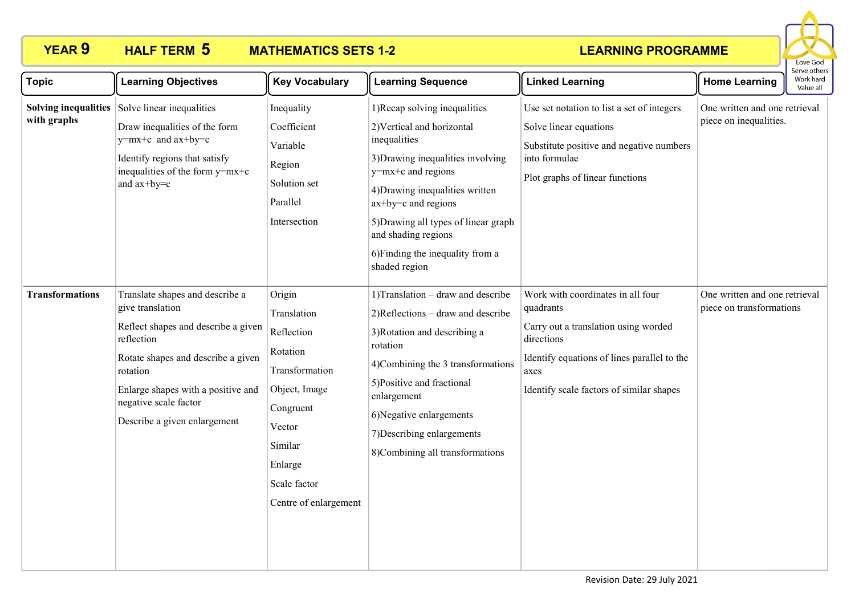

| <b>Topic</b>                               | <b>Learning Objectives</b>                                                                                                                                                                                                                                | <b>Key Vocabulary</b>                                                                                                                                                    | <b>Learning Sequence</b>                                                                                                                                                                                                                                                                                               | <b>Linked Learning</b>                                                                                                                                                                                  | <b>Home Learning</b>                                      | Serve others<br>Work hard<br>Value all |
|--------------------------------------------|-----------------------------------------------------------------------------------------------------------------------------------------------------------------------------------------------------------------------------------------------------------|--------------------------------------------------------------------------------------------------------------------------------------------------------------------------|------------------------------------------------------------------------------------------------------------------------------------------------------------------------------------------------------------------------------------------------------------------------------------------------------------------------|---------------------------------------------------------------------------------------------------------------------------------------------------------------------------------------------------------|-----------------------------------------------------------|----------------------------------------|
| <b>Solving inequalities</b><br>with graphs | Solve linear inequalities<br>Draw inequalities of the form<br>y=mx+c and ax+by=c<br>Identify regions that satisfy<br>inequalities of the form y=mx+c<br>and ax+by=c                                                                                       | Inequality<br>Coefficient<br>Variable<br>Region<br>Solution set<br>Parallel<br>Intersection                                                                              | 1) Recap solving inequalities<br>2) Vertical and horizontal<br>inequalities<br>3) Drawing inequalities involving<br>y=mx+c and regions<br>4) Drawing inequalities written<br>$ax+by=c$ and regions<br>5) Drawing all types of linear graph<br>and shading regions<br>6) Finding the inequality from a<br>shaded region | Use set notation to list a set of integers<br>Solve linear equations<br>Substitute positive and negative numbers<br>into formulae<br>Plot graphs of linear functions                                    | One written and one retrieval<br>piece on inequalities.   |                                        |
| <b>Transformations</b>                     | Translate shapes and describe a<br>give translation<br>Reflect shapes and describe a given<br>reflection<br>Rotate shapes and describe a given<br>rotation<br>Enlarge shapes with a positive and<br>negative scale factor<br>Describe a given enlargement | Origin<br>Translation<br>Reflection<br>Rotation<br>Transformation<br>Object, Image<br>Congruent<br>Vector<br>Similar<br>Enlarge<br>Scale factor<br>Centre of enlargement | 1) Translation – draw and describe<br>2)Reflections - draw and describe<br>3) Rotation and describing a<br>rotation<br>4)Combining the 3 transformations<br>5)Positive and fractional<br>enlargement<br>6)Negative enlargements<br>7) Describing enlargements<br>8)Combining all transformations                       | Work with coordinates in all four<br>quadrants<br>Carry out a translation using worded<br>directions<br>Identify equations of lines parallel to the<br>axes<br>Identify scale factors of similar shapes | One written and one retrieval<br>piece on transformations |                                        |